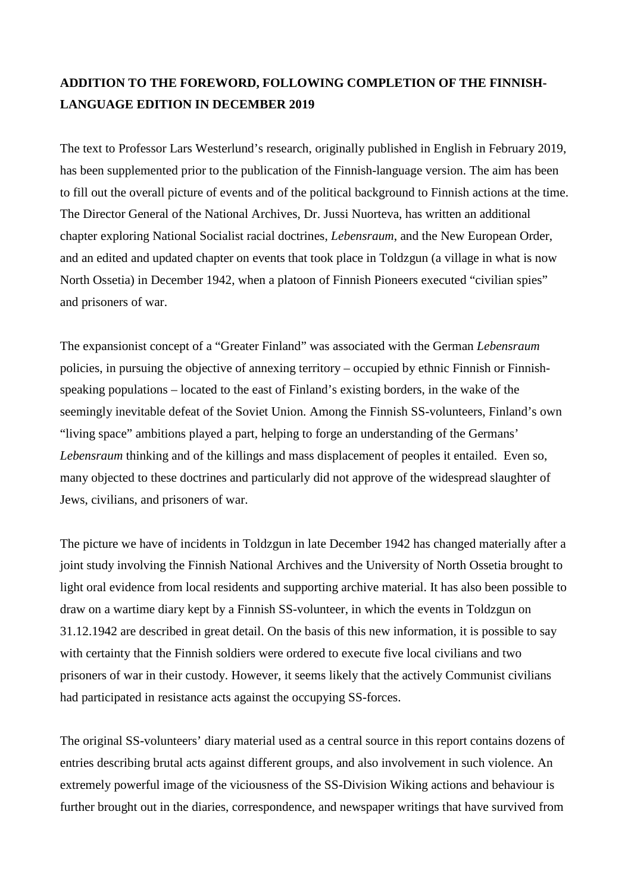## **ADDITION TO THE FOREWORD, FOLLOWING COMPLETION OF THE FINNISH-LANGUAGE EDITION IN DECEMBER 2019**

The text to Professor Lars Westerlund's research, originally published in English in February 2019, has been supplemented prior to the publication of the Finnish-language version. The aim has been to fill out the overall picture of events and of the political background to Finnish actions at the time. The Director General of the National Archives, Dr. Jussi Nuorteva, has written an additional chapter exploring National Socialist racial doctrines, *Lebensraum*, and the New European Order, and an edited and updated chapter on events that took place in Toldzgun (a village in what is now North Ossetia) in December 1942, when a platoon of Finnish Pioneers executed "civilian spies" and prisoners of war.

The expansionist concept of a "Greater Finland" was associated with the German *Lebensraum* policies, in pursuing the objective of annexing territory – occupied by ethnic Finnish or Finnishspeaking populations – located to the east of Finland's existing borders, in the wake of the seemingly inevitable defeat of the Soviet Union. Among the Finnish SS-volunteers, Finland's own "living space" ambitions played a part, helping to forge an understanding of the Germans' *Lebensraum* thinking and of the killings and mass displacement of peoples it entailed. Even so, many objected to these doctrines and particularly did not approve of the widespread slaughter of Jews, civilians, and prisoners of war.

The picture we have of incidents in Toldzgun in late December 1942 has changed materially after a joint study involving the Finnish National Archives and the University of North Ossetia brought to light oral evidence from local residents and supporting archive material. It has also been possible to draw on a wartime diary kept by a Finnish SS-volunteer, in which the events in Toldzgun on 31.12.1942 are described in great detail. On the basis of this new information, it is possible to say with certainty that the Finnish soldiers were ordered to execute five local civilians and two prisoners of war in their custody. However, it seems likely that the actively Communist civilians had participated in resistance acts against the occupying SS-forces.

The original SS-volunteers' diary material used as a central source in this report contains dozens of entries describing brutal acts against different groups, and also involvement in such violence. An extremely powerful image of the viciousness of the SS-Division Wiking actions and behaviour is further brought out in the diaries, correspondence, and newspaper writings that have survived from